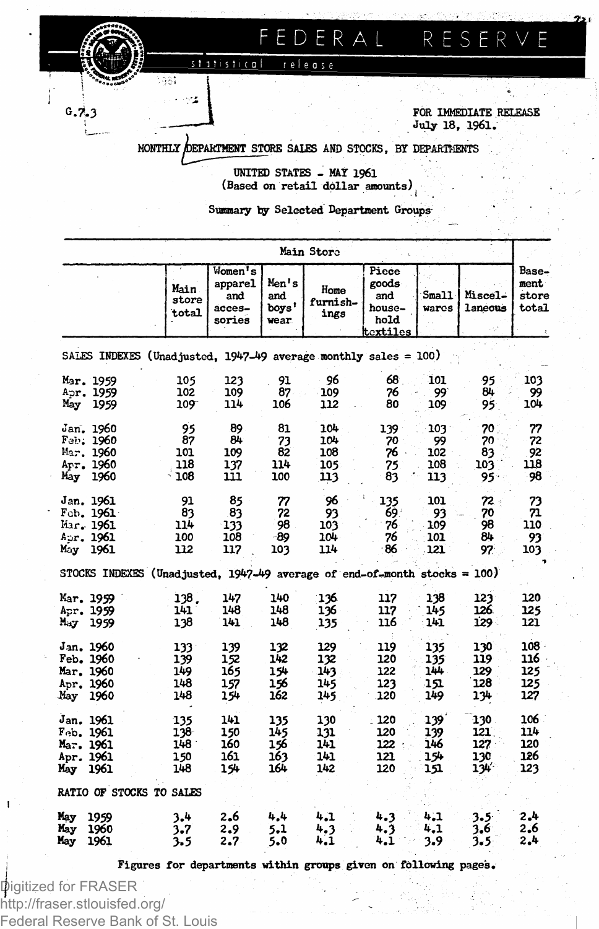FEDERAL RESER

statistical release

1981  $\mathcal{L}^{\mathbf{r}}$ 

 $0.7.3$ 

**FOR IMMEDIATE RELEASE July 18, 1961.**

**MONTHLY /DEPARTMENT STORE SALES AND STOCKS, BY DEPARTMENTS**

**UNITED STATES - MAY 196l (Based on retail dollar amounts) • • i .**

**Summary by Selected Department Groups**

|                                                                 |                                                                             |                                                                          |                                 | Main Store                                                 |                                  |                                 |                                 |                                     |
|-----------------------------------------------------------------|-----------------------------------------------------------------------------|--------------------------------------------------------------------------|---------------------------------|------------------------------------------------------------|----------------------------------|---------------------------------|---------------------------------|-------------------------------------|
|                                                                 |                                                                             | Women's<br>apparel<br>Main.<br>and<br>store<br>acces-<br>total<br>sories |                                 | Men's<br>Home<br>and<br>furnish-<br>boys'<br>ings<br>wear. |                                  | S <sub>mal</sub> 1<br>wares     | <b>Miscel-</b><br>laneous       | Base-<br>ment<br>store<br>total     |
|                                                                 | SALES INDEXES (Unadjusted, 1947-49 average monthly sales = 100)             |                                                                          |                                 |                                                            |                                  |                                 |                                 |                                     |
| Mar. 1959<br>Ap <b>r. 1959</b><br>May<br>1959                   | 105<br>102<br>109                                                           | 123<br>109<br>114                                                        | 91<br>87<br>106                 | 96<br>109<br>112                                           | 68.<br>76<br>80                  | 101<br>99<br>109                | 95<br>84<br>95.                 | 103<br>99<br>104                    |
| Jan. 1960<br>Feb. 1960<br>Mar, 1960<br>Apr. 1960<br>1960<br>May | 95<br>87<br>101<br>118<br>108                                               | 89<br>84<br>109<br>137<br>111                                            | 81<br>73<br>82<br>114<br>100    | 104<br>104<br>108<br>105<br>113                            | 139<br>70<br>76<br>75<br>83      | 103<br>99<br>102<br>108<br>113  | 70<br>70<br>83<br>103<br>95.    | 77<br>72<br>92<br>118<br>98         |
| Jan. 1961<br>Feb. 1961<br>Mar. 1961<br>Aur. 1961<br>1961<br>May | 91<br>83<br>114<br>100<br>112                                               | 85<br>83<br>133<br>108<br>117                                            | 77<br>72<br>98<br>-89<br>103    | 96<br>93<br>103<br>104.<br>114                             | 135<br>69.<br>76<br>76<br>86     | 101<br>93<br>109<br>101<br>121  | 72 -<br>70<br>98<br>84<br>97    | 73<br>71<br>110<br>93<br>103        |
|                                                                 | STOCKS INDEXES (Unadjusted, $1947-49$ average of end-of-month stocks = 100) |                                                                          |                                 |                                                            |                                  |                                 |                                 |                                     |
| Mar. 1959<br>Apr. 1959<br>May<br>1959                           | 138.<br>141<br>138                                                          | 147<br>148<br>141                                                        | 140<br>148<br>148               | 136<br>136<br>135                                          | 117<br>117<br>116                | 138<br>145<br>141               | 123<br>126.<br>129              | 120<br>125<br>121                   |
| Jan. 1960<br>Feb. 1960<br>Mar. 1960<br>Apr. 1960<br>May<br>1960 | 133<br>139<br>149<br>148<br>148                                             | 139<br>152<br>165<br>157<br>154                                          | 132<br>142<br>154<br>156<br>162 | 129<br>132<br>143<br>145<br>145                            | 119<br>120<br>122<br>123<br>120  | 135<br>135<br>144<br>151<br>149 | 130<br>119<br>129<br>128<br>134 | $108 -$<br>116<br>125<br>125<br>127 |
| Jan. 1961<br>Feb. 1961<br>Mar. 1961<br>Apr. 1961<br>May<br>1961 | 135<br>138<br>148.<br>150<br>148                                            | 141<br>150<br>160<br>161<br>154                                          | 135<br>145<br>156<br>163<br>164 | 130<br>131<br>141<br>141<br>142                            | .120<br>120<br>122<br>121<br>120 | 139<br>139<br>146<br>154<br>151 | 130<br>121<br>127<br>130<br>134 | 106.<br>114<br>120<br>126<br>123    |
|                                                                 | RATIO OF STOCKS TO SALES                                                    |                                                                          |                                 |                                                            |                                  |                                 |                                 |                                     |
| 1959<br>May<br>May<br>1960<br>1961<br>May                       | 3.4<br>3.7<br>3.5                                                           | 2.6<br>2.9<br>2.7                                                        | 4,4<br>5.1<br>5.0               | 4.1<br>4.3<br>4.1                                          | 4.3<br>4.3<br>4.1                | 4,1<br>4.1<br>3.9               | $3.5^{\circ}$<br>3.6<br>3.5     | 2.4<br>2.6<br>2,4                   |

**Figures for departments within groups given on following pages.**

Digitized for FRASER http://fraser.stlouisfed.org/ Federal Reserve Bank of St. Louis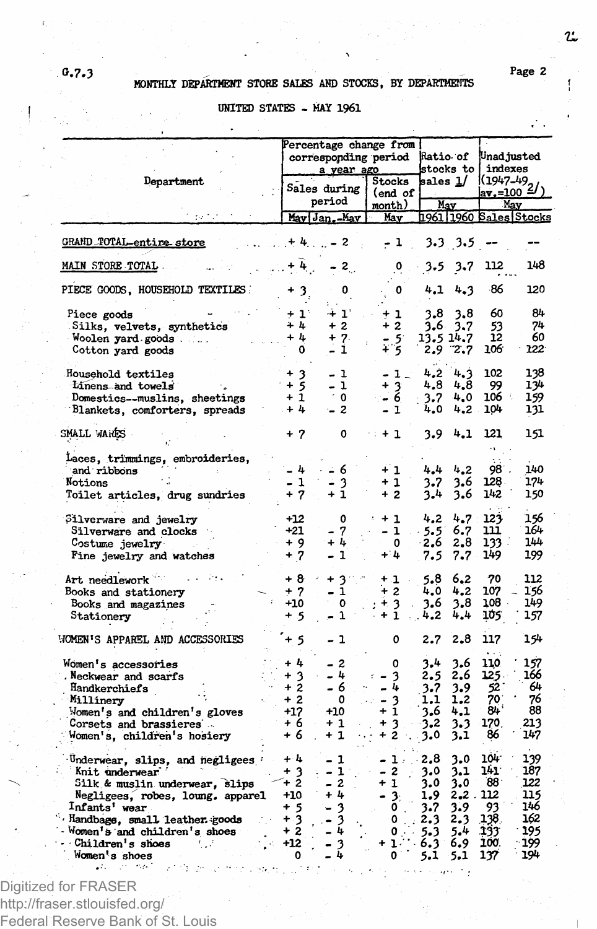# *0.7.***3 / Page 2 MONTHLY DEPARTMENT STORE SALES AND STOCKS, BY DEPARTMENTS**

**UNITED STATES - MAY 1961**

|                                  |                   | Percentage change from |              |                  |  |                              |        |             |                       |                        |
|----------------------------------|-------------------|------------------------|--------------|------------------|--|------------------------------|--------|-------------|-----------------------|------------------------|
|                                  |                   |                        |              |                  |  | corresponding period         |        | Ratio of    | Unadjusted            |                        |
|                                  |                   |                        |              | a year ago       |  |                              |        |             | stocks to [ indexes   |                        |
| Department                       |                   |                        |              |                  |  | Stocks                       |        | sales 1/    |                       |                        |
|                                  |                   |                        | Sales during |                  |  | (end of                      |        |             | $\frac{(1947-49)}{2}$ |                        |
|                                  |                   |                        | period       |                  |  | month)                       |        | May         |                       | May                    |
|                                  |                   |                        |              | May Jan.-May     |  | May                          |        |             |                       | 1961 1960 Sales Stocks |
| <b>GRAND TOTAL-entire store</b>  |                   |                        | $+4$ , $-2$  |                  |  | $-1$                         |        | 3.3 3.5     |                       |                        |
| MAIN STORE TOTAL                 |                   | $+ 4.$                 |              |                  |  | 0                            |        |             | 112                   | 148                    |
|                                  |                   |                        |              | $-2$             |  |                              | 3.5    | 3.7         |                       |                        |
| PIECE GOODS, HOUSEHOLD TEXTILES  |                   | $\mathbf{3}_i$         |              | 0                |  | o                            | 4.1    | 4.3         | -86                   | 120                    |
| Piece goods                      | $+1$ <sup>*</sup> |                        |              | $+1^{\circ}$     |  | $+1$                         | 3.8    | 3,8         | 60                    | 84                     |
| Silks, velvets, synthetics       | $+4$              |                        |              | $+2$             |  | $+2$                         | 3.6    | 3.7         | 53                    | 74                     |
| Woolen yard goods                | $+4$              |                        |              | + 7.             |  | - 51                         |        | 13.5 14.7   | 12                    | 60                     |
|                                  |                   | 0                      |              | - 1              |  | + 5                          |        | $2.9$ $7.7$ | 106                   | $122 -$                |
| Cotton yard goods                |                   |                        |              |                  |  |                              |        |             |                       |                        |
| Household textiles               | $+3$              |                        | - 1          |                  |  | - 1 -                        | 4,2    | 4.3         | 102                   | 138                    |
| Linens and towels                | $+5$              |                        |              | - 1              |  | $\frac{1}{6}$                | 4,8    | 4.8         | 99                    | 134                    |
| Domestics--muslins, sheetings    | $+1$              |                        |              | $^{\circ}$ 0     |  |                              | 3.7    | 4.0         | 106 :                 | 159                    |
| Blankets, comforters, spreads    | $+4$              |                        | $-2$         |                  |  | - 1                          | 4.0    | 4.2         | 104                   | 131                    |
|                                  |                   |                        |              |                  |  |                              |        |             |                       |                        |
| SMALL WARES                      | $+7$              |                        |              | 0                |  | $+1$                         | 3.9    | 4.1         | 121                   | 151                    |
| Laces, trimmings, embroideries,  |                   |                        |              |                  |  |                              |        |             |                       |                        |
| and ribbons                      | - 4               |                        | - 6          |                  |  | $+1$                         | 4.4    | 4.2         | 98.                   | 140                    |
| Notions                          | - 1               |                        | - 3          |                  |  | + 1                          | 3.7    | 3.6         | 128.                  | 174                    |
|                                  | + 7               |                        | + 1          |                  |  | $+2$                         |        |             | 142                   |                        |
| Toilet articles, drug sundries   |                   |                        |              |                  |  |                              | 3.4    | 3.6         |                       | 150                    |
| Silverware and jewelry           | $+12$             |                        |              | 0                |  | $+1$                         | 4.2    | 4.7         | 123                   | 156                    |
| Silverware and clocks            | $+21$             |                        | - 7          |                  |  | - 1                          | 5.5    | 6.7         | 111                   | 164                    |
|                                  | $+9$              |                        | + 4          |                  |  | $^{\circ}$                   | $-2.6$ | 2.8         | 133.                  | 144                    |
| Costume jewelry                  |                   |                        |              |                  |  | $+4$                         |        |             |                       |                        |
| Fine jewelry and watches         | $+7$              |                        | - 1          |                  |  |                              | 7.5    | 7.7         | 149                   | 199                    |
| Art needlework                   | $+8$              |                        | +            | $\mathbf{c}$     |  | + 1                          | 5.8    | 6.2         | 70                    | 112                    |
| Books and stationery             | $+7$              |                        |              | $\mathbf{1}$     |  | $+2$                         | 4.0    | 4.2         | 107                   | 156                    |
| Books and magazines              | $+10$             |                        |              | 0                |  | $+3$                         | 3.6    | 3.8         | 108.                  | 149                    |
|                                  | + 5               |                        |              | 1                |  | $+1$                         | 4.2    | 4,4         | 105                   | 157                    |
| Stationery                       |                   |                        |              |                  |  |                              |        |             |                       |                        |
| WOMEN'S APPAREL AND ACCESSORIES  | + 5               |                        | - 1          |                  |  | 0                            | 2.7    | 2.8         | 117                   | 154                    |
| Women's accessories              | $+1$              |                        | - 2          |                  |  | 0                            | 3.4    | 3.6         | 110                   | 157                    |
| Neckwear and scarfs              | + 3               |                        | - 4          |                  |  | - 3                          | 2.5    | 2,6         | 125.                  | 166                    |
| Handkerchiefs                    | + 2               |                        | - 6          |                  |  | - 4                          | 3.7    | 3.9         | 52                    | 64                     |
|                                  | $+2$              |                        |              | 0                |  |                              |        | 1,2         | 70                    | 76                     |
| Millinery                        |                   |                        | $+10$        |                  |  | - 3<br>+ 1                   | 1,1    |             | $84^{\circ}$          | 88                     |
| Momen's and children's gloves    | $+17$             |                        |              |                  |  |                              | 3.6    | 4.1         |                       |                        |
| Corsets and brassieres           | + 6               |                        | $+1$         |                  |  | +<br>3                       | 3,2    | 3.3         | 170.                  | 213                    |
| Women's, children's hosiery      | + 6               |                        | + 1          |                  |  | ÷<br>$\overline{\mathbf{c}}$ | 3.0    | 3.1         | 86                    | 147                    |
| Underwear, slips, and negligees  | $+4$              |                        | - 1          |                  |  | л.                           | 2.8    | 3.0         | 104                   | 139                    |
| Knit underwear                   | + 3               |                        | - 1          |                  |  | -2<br>۰                      | 3.0    | 3.1         | 141.                  | 187                    |
| Silk & muslin underwear, slips   | + 2               |                        |              | $\boldsymbol{z}$ |  | + 1                          | 3.0    | 3.0         | $88 -$                | 122                    |
|                                  | $+10$             |                        | + 4          |                  |  |                              |        | 2.2.112     |                       | 115                    |
| Negligees, robes, loung, apparel |                   |                        |              |                  |  | - 3.                         | 1.9    |             |                       |                        |
| Infants' wear                    | + 5               |                        |              | 3                |  | ٥                            | 3.7    | 3.9         | 93                    | 146                    |
| Handbags, small leather goods    | + 3               |                        |              | 3                |  | 0                            | 2.3    | 2.3         | 138.                  | 162                    |
| Women's and children's shoes     | $+2$              |                        |              | 4                |  | $\mathbf{0}_{\mathbb{R}}$    | 5.3    | 5.4         | 293                   | 195                    |
| Children's shoes                 | $+12$             |                        |              | 3                |  | $+1.$                        | 6.3    | 6.9         | 100.                  | 199                    |
| Women's shoes                    | 0                 |                        |              | 4                |  | 0                            | 5.1    | 5.1         | 137                   | 194                    |

Digitized for FRASER http://fraser.stlouisfed.org/ Federal Reserve Bank of St. Louis

 $\mathfrak{L}$ 

î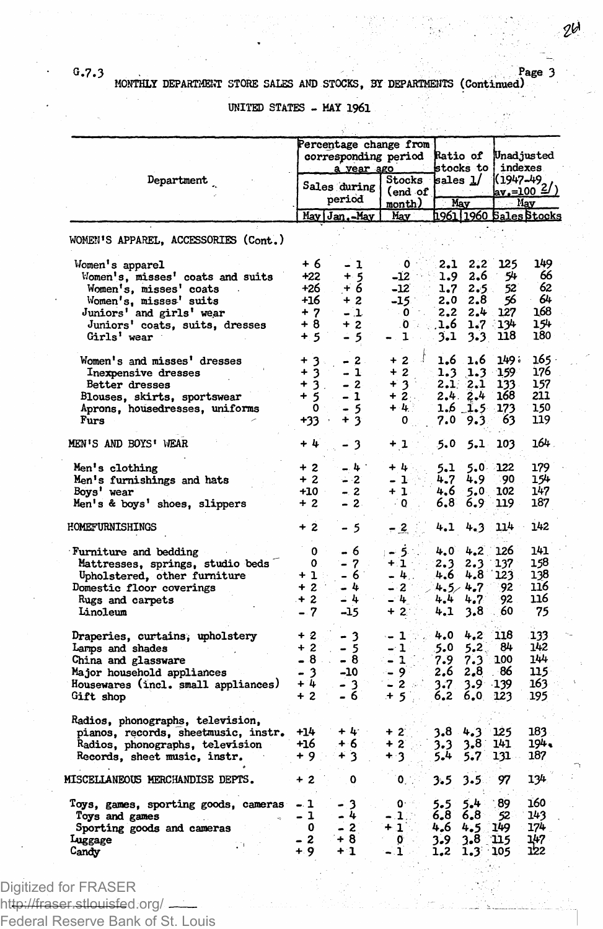## **G.7.3 Page 3 MONTHLY DEPARTMENT STORE SALES AND STOCKS, 31 DEPARTMENTS (Continued)**

**UNITED STATES - MAY 1961**

|                                                                                                                                                                                      | Percentage change from                                     | corresponding period Ratio of<br>stocks to i           |                                                                                      | Unad justed<br>indexes                        |                                                         |                                            |                                            |
|--------------------------------------------------------------------------------------------------------------------------------------------------------------------------------------|------------------------------------------------------------|--------------------------------------------------------|--------------------------------------------------------------------------------------|-----------------------------------------------|---------------------------------------------------------|--------------------------------------------|--------------------------------------------|
| Department                                                                                                                                                                           | a year ago<br>Sales during<br>period                       |                                                        | Stocks<br>(end of<br>month)                                                          | sales 1/<br>May                               |                                                         | $\frac{(1947-49)}{av.}=100.2$<br>$M$ ay    |                                            |
|                                                                                                                                                                                      |                                                            | May Jan.-May                                           | May                                                                                  |                                               |                                                         |                                            | 1961 1960 Sales Stocks                     |
| WOMEN'S APPAREL, ACCESSORIES (Cont.)                                                                                                                                                 |                                                            |                                                        |                                                                                      |                                               |                                                         |                                            |                                            |
| Women's apparel<br>Women's, misses' coats and suits<br>Women's, misses' coats<br>Women's, misses' suits<br>Juniors' and girls' wear<br>Juniors' coats, suits, dresses<br>Girls' wear | + 6<br>+22<br>+26<br>$+16$<br>$+7$<br>+ 8<br>$+5$          | - 1<br>$\frac{+}{6}$<br>$+2$<br>- 1<br>$+2$<br>$-5$    | $\mathbf{0}$ .<br>$-12$<br>$-12$<br>$-15$<br>$\cdot$ 0<br>۰Ò<br>۰,<br>$\blacksquare$ | 2.1<br>1.9<br>1.7<br>2.0<br>2,2<br>1.6<br>3.1 | 2.2<br>2.6<br>2.5<br>2.8<br>2.4<br>1.7<br>3.3           | 125<br>54<br>52<br>56<br>127<br>134<br>118 | 149<br>66<br>62<br>64<br>168<br>154<br>180 |
| Women's and misses' dresses<br>Inexpensive dresses<br>Better dresses<br>Blouses, skirts, sportswear<br>Aprons, housedresses, uniforms<br>Furs                                        | $+3.$<br>$+3$<br>$+3$ .<br>$+5$<br>$\mathbf{o}$ .<br>+33 - | $-2$ .<br>$-1$<br>$-2$<br>$-1$<br>- 5<br>$+3$          | J<br>$+2$<br>$+2$<br>$+3$<br>$+2$ .<br>$+4$<br>$\mathbf{0}_{\text{max}}$             | 1.6<br>1.3<br>7.0                             | 1,6<br>1.3<br>2.12.1<br>2.4.2.4<br>$1.6$ 1.5 173<br>9.3 | 149.<br>$-159$<br>133.<br>168<br>63        | - 165<br>176<br>157<br>211<br>150<br>119   |
| MEN'S AND BOYS' WEAR                                                                                                                                                                 | $+ 4$                                                      | - 3                                                    | +1 :                                                                                 | 5.0                                           | 5.1                                                     | 103                                        | 164.                                       |
| Men's clothing<br>Men's furnishings and hats<br>Boys' wear<br>Men's & boys' shoes, slippers                                                                                          | $+2$<br>$+2$<br>$+10$<br>$+2$                              | $-4^{\circ}$<br>$-2$<br>$-2$<br>$-2$                   | $+4$<br>- 14<br>$+1$<br>- 0                                                          | 5.1<br>4.7<br>4.6<br>6,8                      | $5.0$ 122<br>4.9<br>5.0<br>6.9                          | 90<br>102<br>119                           | 179<br>154<br>147<br>187                   |
| HOMEFURNISHINGS                                                                                                                                                                      | $+2$                                                       | - 5                                                    | $-2^{2}$                                                                             | 4.1                                           | 4.3                                                     | 114                                        | 142                                        |
| Furniture and bedding<br>Mattresses, springs, studio beds<br>Upholstered, other furniture<br>Domestic floor coverings<br>Rugs and carpets<br>Linoleum                                | 0<br>0<br>$+1$<br>$+2$<br>$+2$<br>$-7$                     | -6<br>$\rightarrow$<br>- 7<br>- 6<br>- 4<br>-41<br>-15 | ; – 5∴<br>$+1$ .<br>$-4.$<br>$-2$<br>$-4$<br>$+2$ :                                  | 4.0<br>2.3<br>4.6<br>4.4<br>4.1               | 4.2<br>2.3<br>4.8<br>$4.5 - 4.7$<br>4.7<br>3,8          | 126<br>137<br>123<br>92.<br>92<br>60       | 141<br>158<br>138<br>116<br>116<br>75      |
| Draperies, curtains, upholstery<br>Larms and shades<br>China and glassware<br>Major household appliances<br>Housewares (incl. small appliances)<br>Gift shop                         | $+2$<br>$+2$<br>$-8$ .<br>$-3$<br>+ 4<br>$+2$              | 3<br>$-5$<br>- 8<br>-10<br>- 3<br>- 6                  | $-1$ in $z$<br>- 1<br>$-1$<br>$-9$<br>- 2 -<br>$+5$<br>$\sim$                        | 4.0<br>5.0<br>7.9<br>2.6<br>3.7<br>6.2        | 4.2<br>5.2<br>7.3<br>2,8<br>$3.9^{\circ}$<br>6.0        | 118<br>84<br>100<br>86<br>$-139$<br>123    | 133<br>142<br>144<br>115<br>163<br>195     |
| Radios, phonographs, television,<br>pianos, records, sheetmusic, instr.<br>Radios, phonographs, television<br>Records, sheet music, instr.                                           | $+14$<br>$+16$<br>+9.                                      | $+4$ .<br>+ 6 ∴<br>+3                                  | $+2$<br>$+2$<br>+ 3                                                                  | 3.8<br>3.3<br>$5 - 4$                         | 4.3<br>3.8<br>5.7                                       | 125<br>141<br>131 -                        | 183<br>194.<br>187                         |
| MISCELLANEOUS MERCHANDISE DEPTS.                                                                                                                                                     | $+2$                                                       | 0                                                      | $\mathbf{0}_{\mathrm{c}}$ .                                                          | 3.5                                           | 3.5                                                     | 97                                         | 134                                        |
| Toys, games, sporting goods, cameras<br>Toys and games<br>Sporting goods and cameras<br>Luggage<br>Ω¥.<br>Candy                                                                      | $-1$<br>- 1<br>0<br>$\mathbf{z}$<br>+ 9                    | - 3<br>$-4$<br>- 2<br>$+8$<br>+1                       | o∾<br>$-1$<br>+1<br>o<br>- 1                                                         | 5.5<br>6,8<br>4.6<br>3.9<br>1,2               | 5.4<br>6.8<br>4.5<br>3.8<br>$1.3^{\circ}$               | 89<br>$52 -$<br>149.<br>115<br>105         | 160<br>143<br>$17-$<br>147<br>122          |

Digitized for FRASER

ht<del>tp://fraser.stlouisfe</del>d.org/ ------Federal Reserve Bank of St. Louis